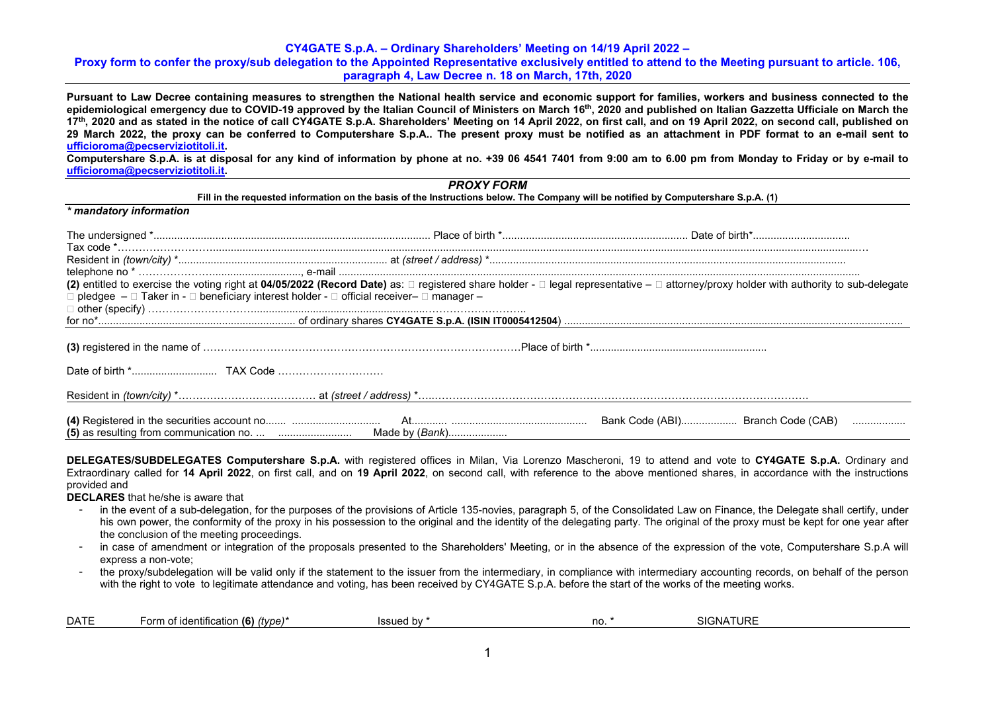## **Proxy form to confer the proxy/sub delegation to the Appointed Representative exclusively entitled to attend to the Meeting pursuant to article. 106, paragraph 4, Law Decree n. 18 on March, 17th, 2020**

**Pursuant to Law Decree containing measures to strengthen the National health service and economic support for families, workers and business connected to the**  epidemiological emergency due to COVID-19 approved by the Italian Council of Ministers on March 16<sup>th</sup>, 2020 and published on Italian Gazzetta Ufficiale on March the **17th, 2020 and as stated in the notice of call CY4GATE S.p.A. Shareholders' Meeting on 14 April 2022, on first call, and on 19 April 2022, on second call, published on 29 March 2022, the proxy can be conferred to Computershare S.p.A.. The present proxy must be notified as an attachment in PDF format to an e-mail sent to [ufficioroma@pecserviziotitoli.it.](mailto:ufficioroma@pecserviziotitoli.it)** 

**Computershare S.p.A. is at disposal for any kind of information by phone at no. +39 06 4541 7401 from 9:00 am to 6.00 pm from Monday to Friday or by e-mail to [ufficioroma@pecserviziotitoli.it.](mailto:ufficioroma@pecserviziotitoli.it)**

|                                                                                                                   | <b>PROXY FORM</b>                                                                                                                  |                                                                                                                                                                                       |
|-------------------------------------------------------------------------------------------------------------------|------------------------------------------------------------------------------------------------------------------------------------|---------------------------------------------------------------------------------------------------------------------------------------------------------------------------------------|
|                                                                                                                   | Fill in the requested information on the basis of the Instructions below. The Company will be notified by Computershare S.p.A. (1) |                                                                                                                                                                                       |
| * mandatory information                                                                                           |                                                                                                                                    |                                                                                                                                                                                       |
|                                                                                                                   |                                                                                                                                    |                                                                                                                                                                                       |
|                                                                                                                   |                                                                                                                                    |                                                                                                                                                                                       |
| $\Box$ pledgee $-\Box$ Taker in - $\Box$ beneficiary interest holder - $\Box$ official receiver- $\Box$ manager - |                                                                                                                                    | (2) entitled to exercise the voting right at 04/05/2022 (Record Date) as: □ registered share holder - □ legal representative - □ attorney/proxy holder with authority to sub-delegate |
|                                                                                                                   |                                                                                                                                    |                                                                                                                                                                                       |
|                                                                                                                   |                                                                                                                                    |                                                                                                                                                                                       |
|                                                                                                                   |                                                                                                                                    |                                                                                                                                                                                       |
|                                                                                                                   |                                                                                                                                    |                                                                                                                                                                                       |
|                                                                                                                   |                                                                                                                                    |                                                                                                                                                                                       |

**DELEGATES/SUBDELEGATES Computershare S.p.A.** with registered offices in Milan, Via Lorenzo Mascheroni, 19 to attend and vote to **CY4GATE S.p.A.** Ordinary and Extraordinary called for **14 April 2022**, on first call, and on **19 April 2022**, on second call, with reference to the above mentioned shares, in accordance with the instructions provided and

**DECLARES** that he/she is aware that

- in the event of a sub-delegation, for the purposes of the provisions of Article 135-novies, paragraph 5, of the Consolidated Law on Finance, the Delegate shall certify, under his own power, the conformity of the proxy in his possession to the original and the identity of the delegating party. The original of the proxy must be kept for one year after the conclusion of the meeting proceedings.
- in case of amendment or integration of the proposals presented to the Shareholders' Meeting, or in the absence of the expression of the vote, Computershare S.p.A will express a non-vote;
- the proxy/subdelegation will be valid only if the statement to the issuer from the intermediary, in compliance with intermediary accounting records, on behalf of the person with the right to vote to legitimate attendance and voting, has been received by CY4GATE S.p.A. before the start of the works of the meeting works.

| <b>DATF</b> | $(6)$ (type)*<br>. .<br>n of identification<br>-orm | Issued by | no. | IATURE<br>$\bigcap$ GNA |  |
|-------------|-----------------------------------------------------|-----------|-----|-------------------------|--|
|-------------|-----------------------------------------------------|-----------|-----|-------------------------|--|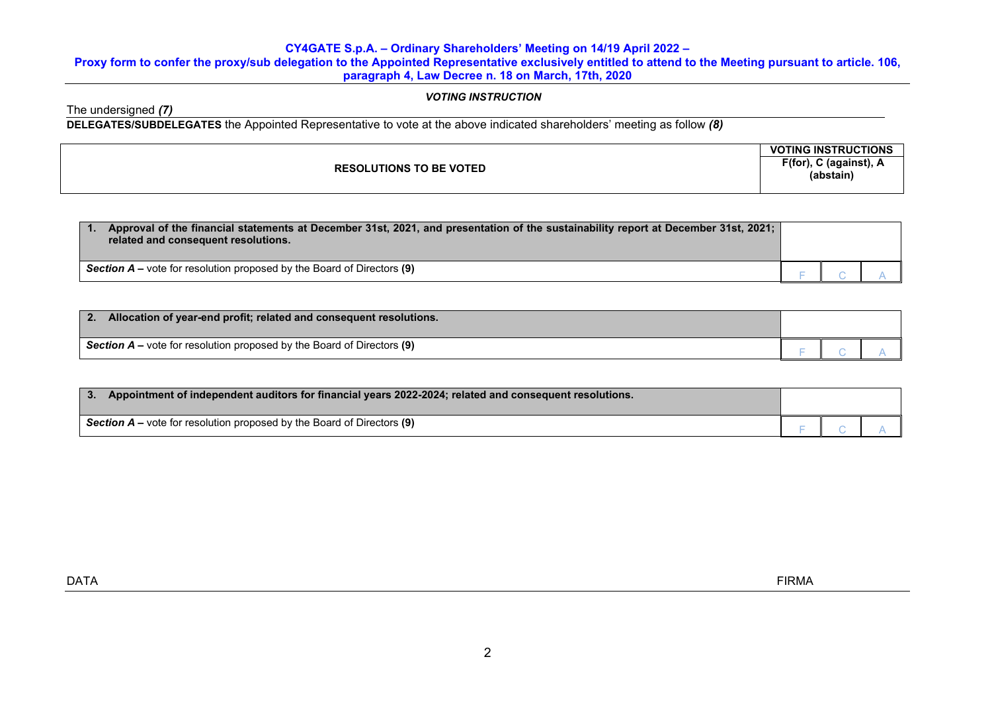# **Proxy form to confer the proxy/sub delegation to the Appointed Representative exclusively entitled to attend to the Meeting pursuant to article. 106, paragraph 4, Law Decree n. 18 on March, 17th, 2020**

# *VOTING INSTRUCTION*

The undersigned *(7)*

**DELEGATES/SUBDELEGATES** the Appointed Representative to vote at the above indicated shareholders' meeting as follow *(8)*

|                                  | $\mathsf{V} \mathsf{C}$<br><b>FING INSTRUCTIONS</b> |
|----------------------------------|-----------------------------------------------------|
| <b>LUTIONS TO BE VOTED</b><br>ωı | (for).<br>∩ (against), <b>д</b><br>- -              |
|                                  | (abstain)                                           |
|                                  |                                                     |

| Approval of the financial statements at December 31st, 2021, and presentation of the sustainability report at December 31st, 2021;<br>related and consequent resolutions. |  |  |
|---------------------------------------------------------------------------------------------------------------------------------------------------------------------------|--|--|
| <b>Section <math>A</math> –</b> vote for resolution proposed by the Board of Directors (9)                                                                                |  |  |

| Allocation of year-end profit; related and consequent resolutions.              |  |  |
|---------------------------------------------------------------------------------|--|--|
| <b>Section A</b> – vote for resolution proposed by the Board of Directors $(9)$ |  |  |

| Appointment of independent auditors for financial years 2022-2024; related and consequent resolutions.<br>$\overline{\phantom{a}}$ 3. |  |  |
|---------------------------------------------------------------------------------------------------------------------------------------|--|--|
| Section $A$ – vote for resolution proposed by the Board of Directors (9)                                                              |  |  |

dentity in the control of the control of the control of the control of the control of the control of the control of the control of the control of the control of the control of the control of the control of the control of t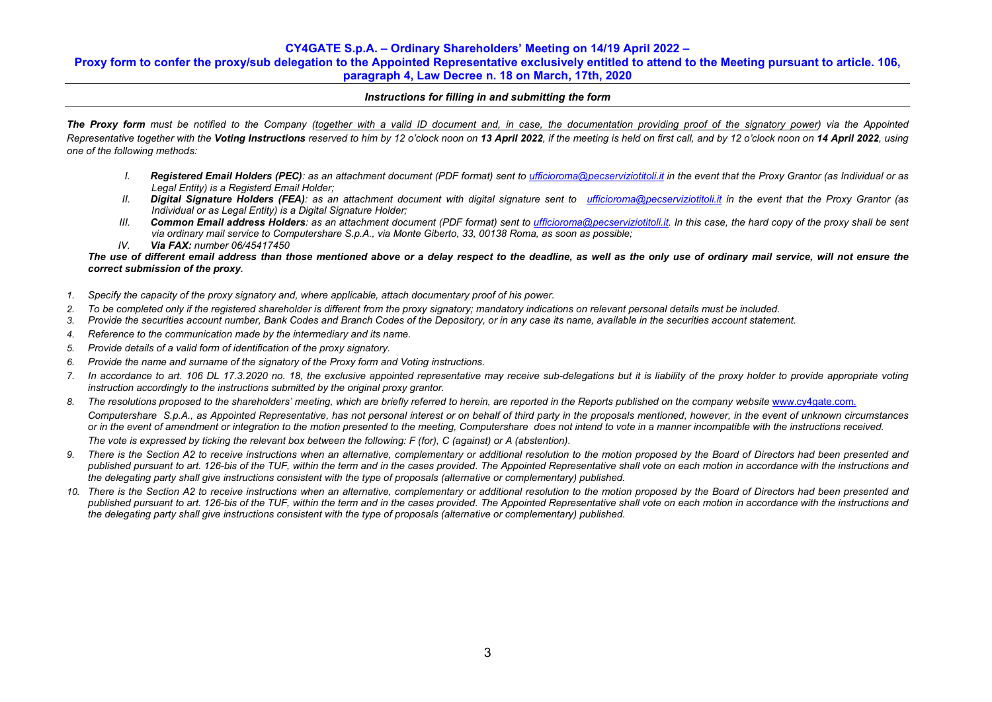## **Proxy form to confer the proxy/sub delegation to the Appointed Representative exclusively entitled to attend to the Meeting pursuant to article. 106, paragraph 4, Law Decree n. 18 on March, 17th, 2020**

## *Instructions for filling in and submitting the form*

**The Proxy form** must be notified to the Company (together with a valid ID document and, in case, the documentation providing proof of the signatory power) via the Appointed Representative together with the Voting Instructions reserved to him by 12 o'clock noon on 13 April 2022, if the meeting is held on first call, and by 12 o'clock noon on 14 April 2022, using *one of the following methods:*

- *I. Registered Email Holders (PEC): as an attachment document (PDF format) sent to [ufficioroma@pecserviziotitoli.it](mailto:ufficioroma@pecserviziotitoli.it) in the event that the Proxy Grantor (as Individual or as Legal Entity) is a Registerd Email Holder;*
- *II. Digital Signature Holders (FEA): as an attachment document with digital signature sent to [ufficioroma@pecserviziotitoli.it](mailto:xxxxx@pecserviziotitoli.it) in the event that the Proxy Grantor (as Individual or as Legal Entity) is a Digital Signature Holder;*
- *III. Common Email address Holders: as an attachment document (PDF format) sent to [ufficioroma@pecserviziotitoli.it.](mailto:ufficioroma@pecserviziotitoli.it) In this case, the hard copy of the proxy shall be sent via ordinary mail service to Computershare S.p.A., via Monte Giberto, 33, 00138 Roma, as soon as possible;*
- *IV. Via FAX: number 06/45417450*

## *The use of different email address than those mentioned above or a delay respect to the deadline, as well as the only use of ordinary mail service, will not ensure the correct submission of the proxy.*

- *1. Specify the capacity of the proxy signatory and, where applicable, attach documentary proof of his power.*
- *2. To be completed only if the registered shareholder is different from the proxy signatory; mandatory indications on relevant personal details must be included.*
- *3. Provide the securities account number, Bank Codes and Branch Codes of the Depository, or in any case its name, available in the securities account statement.*
- *4. Reference to the communication made by the intermediary and its name.*
- *5. Provide details of a valid form of identification of the proxy signatory.*
- *6. Provide the name and surname of the signatory of the Proxy form and Voting instructions.*
- *7. In accordance to art. 106 DL 17.3.2020 no. 18, the exclusive appointed representative may receive sub-delegations but it is liability of the proxy holder to provide appropriate voting instruction accordingly to the instructions submitted by the original proxy grantor.*
- 8. The resolutions proposed to the shareholders' meeting, which are briefly referred to herein, are reported in the Reports published on the company website [www.cy4gate.com.](http://www.cy4gate.com/) *Computershare S.p.A., as Appointed Representative, has not personal interest or on behalf of third party in the proposals mentioned, however, in the event of unknown circumstances or in the event of amendment or integration to the motion presented to the meeting, Computershare does not intend to vote in a manner incompatible with the instructions received. The vote is expressed by ticking the relevant box between the following: F (for), C (against) or A (abstention).*
- 9. There is the Section A2 to receive instructions when an alternative, complementary or additional resolution to the motion proposed by the Board of Directors had been presented and published pursuant to art. 126-bis of the TUF, within the term and in the cases provided. The Appointed Representative shall vote on each motion in accordance with the instructions and *the delegating party shall give instructions consistent with the type of proposals (alternative or complementary) published.*
- *10. There is the Section A2 to receive instructions when an alternative, complementary or additional resolution to the motion proposed by the Board of Directors had been presented and published pursuant to art. 126-bis of the TUF, within the term and in the cases provided. The Appointed Representative shall vote on each motion in accordance with the instructions and the delegating party shall give instructions consistent with the type of proposals (alternative or complementary) published.*